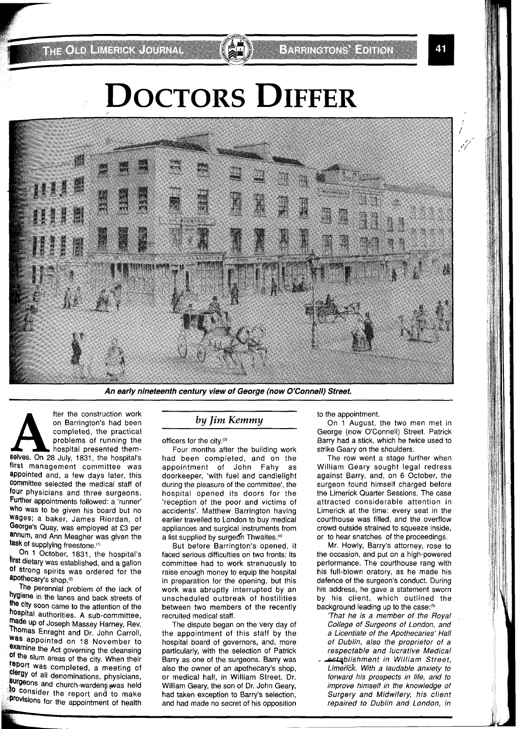**THE ONDERHAM** ENGINEERING

## **DOCTORS DIFFER**



**An early nineteenth century view of George (now O'Connell) Street.** 

fter the construction work<br>
on Barrington's had been<br>
completed, the practical<br>
problems of running the<br>
hospital presented them-<br>
elves. On 28 July, 1831, the hospital's on Barrington's had been completed, the practical problems of running the hospital presented themfirst management committee was appointed and, a few days later, this Committee selected the medical staff of four physicians and three surgeons. Further appointments followed: a 'runner' Who was to be given his board but no wages; a baker, James Riordan, of George's Quay, was employed at £3 per annum, and Ann Meagher was given the task of supplying freestone."'

On 1 October, 1831, the hospital's first dietary was established, and a gallon Of strong spirits was ordered for the apothecary's shop.<sup>(2)</sup>

The perennial problem of the lack of hygiene in the lanes and back streets of the city soon came to the attention of the hospital authorities. A sub-committee, made up of Joseph Massey Harney, Rev. Thomas Enraght and Dr. John Carroll, Was appointed on 18 November to examine the Act governing the cleansing of the slum areas of the city. When their Port was completed, a meeting of clergy of all denominations, physicians, surgeons and church-wardens was held to consider the report and to make provisions for the appointment of health

## *by Jim Kemmy*

officers for the city.@'

Four months after the building work had been completed, and on the<br>appointment of John Fahy as appointment of John Fahy doorkeeper, 'with fuel and candlelight during the pleasure of the committee', the hospital opened its doors for the 'reception of the poor and victims of accidents'. Matthew Barrington having earlier travelled to London to buy medical appliances and surgical instruments from a list supplied by surgeon Thwaites.<sup>(4)</sup>

But before Barrington's opened, it faced serious difficulties on two fronts: its committee had to work strenuously to raise enough money to equip the hospital in preparation for the opening, but this work was abruptly interrupted by an unscheduled outbreak of hostilities between two members of the recently recruited medical staff.

The dispute began on the very day of the appointment of this staff by the hospital board of governors, and, more particularly, with the selection of Patrick Barry as one of the surgeons. Barry was also the owner of an apothecary's shop, or medical hall, in William Street. Dr. William Geary, the son of Dr. John Geary, had taken exception to Barry's selection, and had made no secret of his opposition to the appointment.

On 1 August, the two men met in George (now O'Connell) Street. Patrick Barry had a stick, which he twice used to strike Geary on the shoulders.

The row went a stage further when William Geary sought legal redress against Barry, and, on 6 October, the surgeon found himself charged before the Limerick Quarter Sessions. The case attracted considerable attention in Limerick at the time: every seat in the courthouse was filled, and the overflow crowd outside strained to squeeze inside, or to hear snatches of the proceedings.

Mr. Howly, Barry's attorney, rose to the occasion, and put on a high-powered performance. The courthouse rang with his full-blown oratory, as he made his defence of the surgeon's conduct. During his address, he gave a statement sworn by his client, which outlined the background leading up to the case:<sup>(5)</sup>

'That he is a member of the Royal College of Surgeons of London, and a Licentiate of the Apothecaries' Hall of Dublin, also the proprietor of a respectable and lucrative Medical establishment in William Street, Limerick. With a laudable anxiety to forward his prospects in life, and to improve himself in the knowledge of Surgery and Midwifery, his client repaired to Dublin and London, in

41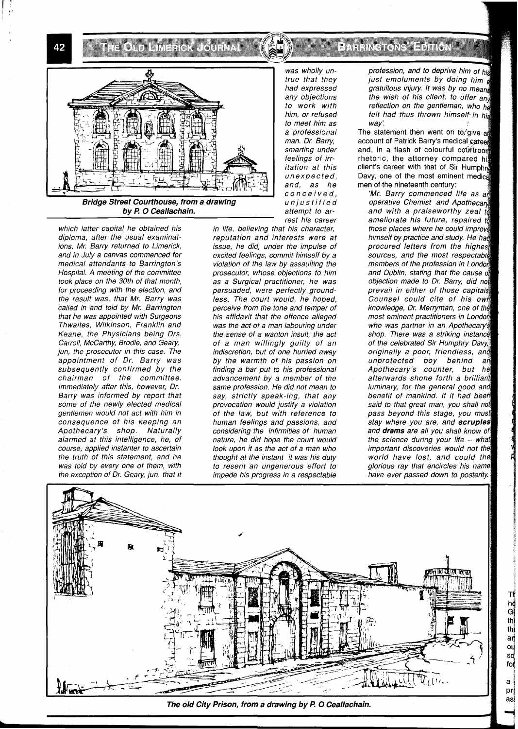**THORN HARROR CONTACT** 

42



which latter capital he obtained his diploma, after the usual examinations. Mr. Barry returned to Limerick, and in July a canvas commenced for medical attendants to Barrington's Hospital. A meeting of the committee took place on the 30th of that month, for proceeding with the election, and the result was, that Mr. Barry was called in and told by Mr. Barrington that he was appointed with Surgeons Thwaites, Wilkinson, Franklin and Keane, the Physicians being Drs. Carroll, McCarthy, Brodie, and Geary, jun, the prosecutor in this case. The appointment of Dr. Barry was subsequently confirmed by the chairman of the committee. Immediately after this, however, Dr. Barry was informed by report that some of the newly elected medical gentlemen would not act with him in consequence of his keeping an Apothecary's shop. Naturally alarmed at this intelligence, he, of course, applied instanter to ascertain the truth of this statement, and ne was told by every one of them, with the exception of Dr. Geary, jun. that it

rest his career in life, believing that his character, reputation and interests were at issue, he did, under the impulse of excited feelings, commit himself by a violation of the law by assaulting the prosecutor, whose objections to him as a Surgical practitioner, he was persuaded, were perfectly groundless. The court would, he hoped, perceive from the tone and temper of his affidavit that the offence alleged was the act of a man labouring under the sense of a wanton insult, the act of a man willingly guilty of an indiscretion, but of one hurried away by the warmth of his passion on finding a bar put to his professional advancement by a member of the same profession. He did not mean to say, strictly speak-ing, that any provocation would justify a violation of the law, but with reference to human feelings and passions, and considering the infirmities of human nature, he did hope the court would look upon it as the act of a man who thought at the instant it was his duty to resent an ungenerous effort to impede his progress in a respectable

EATHRE ONS HE FIREN

profession, and to deprive him of his just emoluments by doing him gratuitous injury. It was by no means the wish of his client, to offer any reflection on the gentleman, who he felt had thus thrown himself in his way:

The statement then went on to/give a account of Patrick Barry's medical career and, in a flash of colourful courtroom rhetoric, the attorney compared his client's career with that of Sir Humphro Davy, one of the most eminent medical men of the nineteenth century:

'Mr. Barry commenced life as an<br>operative Chemist and Apothecary and with a praiseworthy zeal id ameliorate his future, repaired to those places where he could improve himself by practice and study. He had procured letters from the highest sources, and the most respectable members of the profession in London and Dublin, stating that the cause of<br>objection made to Dr. Barry, did not prevail in either of those capitals Counsel could cite of his own knowledge, Dr. Merryman, one of the most eminent practitioners in London who was partner in an Apothecary's shop. There was a striking instance of the celebrated Sir Humphry Davy. originally a poor, friendless, a unprotected boy behind añ Apothecary's counter, but afterwards shone forth a brilliant luminary, for the general good and benefit of mankind. If it had been said to that great man, you shall not pass beyond this stage, you must stay where you are, and scruples and **drams** are all you shall the science during your life - what important discoveries would not world have lost, and could the glorious ray that encircles his name have ever passed down to posterity.

pr**i**<br>asi

 $a$ 

ТÍ he<br>G<br>th

 $t$ h аŗ ou<br>so<br>fol



The old City Prison, from a drawing by P. O Ceallachain.